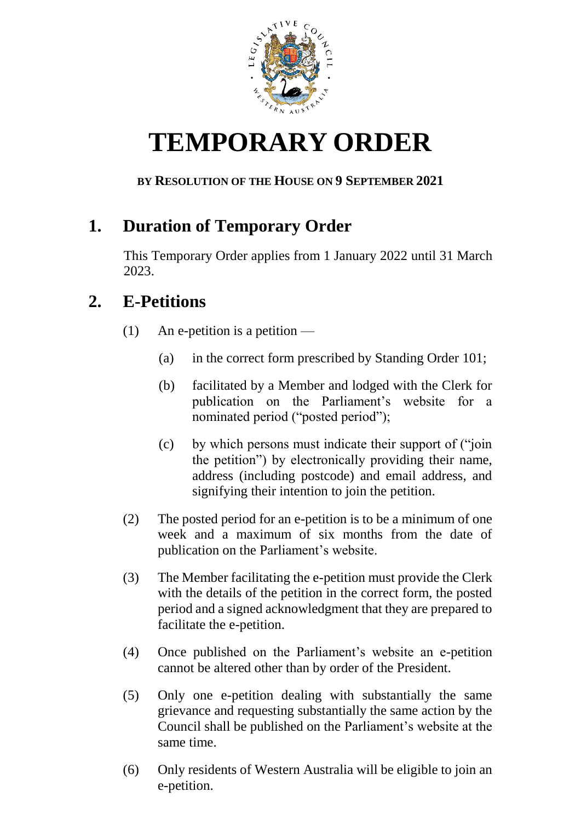

## **TEMPORARY ORDER**

## **BY RESOLUTION OF THE HOUSE ON 9 SEPTEMBER 2021**

## **1. Duration of Temporary Order**

This Temporary Order applies from 1 January 2022 until 31 March 2023.

## **2. E-Petitions**

- (1) An e-petition is a petition  $-$ 
	- (a) in the correct form prescribed by Standing Order 101;
	- (b) facilitated by a Member and lodged with the Clerk for publication on the Parliament's website for a nominated period ("posted period");
	- (c) by which persons must indicate their support of ("join the petition") by electronically providing their name, address (including postcode) and email address, and signifying their intention to join the petition.
- (2) The posted period for an e-petition is to be a minimum of one week and a maximum of six months from the date of publication on the Parliament's website.
- (3) The Member facilitating the e-petition must provide the Clerk with the details of the petition in the correct form, the posted period and a signed acknowledgment that they are prepared to facilitate the e-petition.
- (4) Once published on the Parliament's website an e-petition cannot be altered other than by order of the President.
- (5) Only one e-petition dealing with substantially the same grievance and requesting substantially the same action by the Council shall be published on the Parliament's website at the same time.
- (6) Only residents of Western Australia will be eligible to join an e-petition.